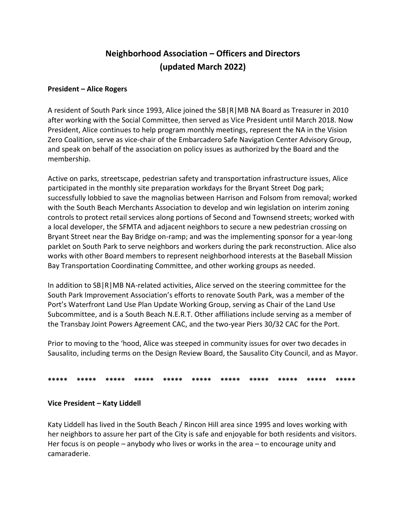# **Neighborhood Association – Officers and Directors (updated March 2022)**

### **President – Alice Rogers**

A resident of South Park since 1993, Alice joined the SB|R|MB NA Board as Treasurer in 2010 after working with the Social Committee, then served as Vice President until March 2018. Now President, Alice continues to help program monthly meetings, represent the NA in the Vision Zero Coalition, serve as vice-chair of the Embarcadero Safe Navigation Center Advisory Group, and speak on behalf of the association on policy issues as authorized by the Board and the membership.

Active on parks, streetscape, pedestrian safety and transportation infrastructure issues, Alice participated in the monthly site preparation workdays for the Bryant Street Dog park; successfully lobbied to save the magnolias between Harrison and Folsom from removal; worked with the South Beach Merchants Association to develop and win legislation on interim zoning controls to protect retail services along portions of Second and Townsend streets; worked with a local developer, the SFMTA and adjacent neighbors to secure a new pedestrian crossing on Bryant Street near the Bay Bridge on-ramp; and was the implementing sponsor for a year-long parklet on South Park to serve neighbors and workers during the park reconstruction. Alice also works with other Board members to represent neighborhood interests at the Baseball Mission Bay Transportation Coordinating Committee, and other working groups as needed.

In addition to SB|R|MB NA-related activities, Alice served on the steering committee for the South Park Improvement Association's efforts to renovate South Park, was a member of the Port's Waterfront Land Use Plan Update Working Group, serving as Chair of the Land Use Subcommittee, and is a South Beach N.E.R.T. Other affiliations include serving as a member of the Transbay Joint Powers Agreement CAC, and the two-year Piers 30/32 CAC for the Port.

Prior to moving to the 'hood, Alice was steeped in community issues for over two decades in Sausalito, including terms on the Design Review Board, the Sausalito City Council, and as Mayor.

## **\*\*\*\*\* \*\*\*\*\* \*\*\*\*\* \*\*\*\*\* \*\*\*\*\* \*\*\*\*\* \*\*\*\*\* \*\*\*\*\* \*\*\*\*\* \*\*\*\*\* \*\*\*\*\***

### **Vice President – Katy Liddell**

Katy Liddell has lived in the South Beach / Rincon Hill area since 1995 and loves working with her neighbors to assure her part of the City is safe and enjoyable for both residents and visitors. Her focus is on people – anybody who lives or works in the area – to encourage unity and camaraderie.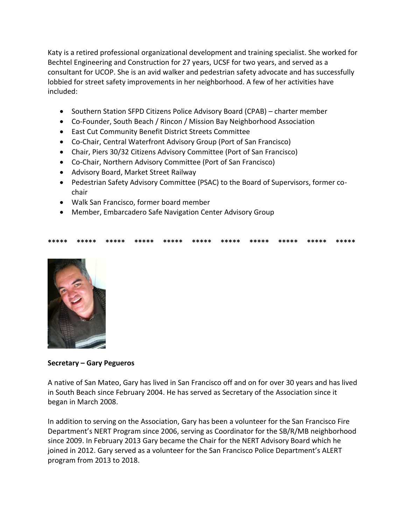Katy is a retired professional organizational development and training specialist. She worked for Bechtel Engineering and Construction for 27 years, UCSF for two years, and served as a consultant for UCOP. She is an avid walker and pedestrian safety advocate and has successfully lobbied for street safety improvements in her neighborhood. A few of her activities have included:

- Southern Station SFPD Citizens Police Advisory Board (CPAB) charter member
- Co-Founder, South Beach / Rincon / Mission Bay Neighborhood Association
- East Cut Community Benefit District Streets Committee
- Co-Chair, Central Waterfront Advisory Group (Port of San Francisco)
- Chair, Piers 30/32 Citizens Advisory Committee (Port of San Francisco)
- Co-Chair, Northern Advisory Committee (Port of San Francisco)
- Advisory Board, Market Street Railway
- Pedestrian Safety Advisory Committee (PSAC) to the Board of Supervisors, former cochair
- Walk San Francisco, former board member
- Member, Embarcadero Safe Navigation Center Advisory Group

### **\*\*\*\*\* \*\*\*\*\* \*\*\*\*\* \*\*\*\*\* \*\*\*\*\* \*\*\*\*\* \*\*\*\*\* \*\*\*\*\* \*\*\*\*\* \*\*\*\*\* \*\*\*\*\***



**Secretary – Gary Pegueros**

A native of San Mateo, Gary has lived in San Francisco off and on for over 30 years and has lived in South Beach since February 2004. He has served as Secretary of the Association since it began in March 2008.

In addition to serving on the Association, Gary has been a volunteer for the San Francisco Fire Department's NERT Program since 2006, serving as Coordinator for the SB/R/MB neighborhood since 2009. In February 2013 Gary became the Chair for the NERT Advisory Board which he joined in 2012. Gary served as a volunteer for the San Francisco Police Department's ALERT program from 2013 to 2018.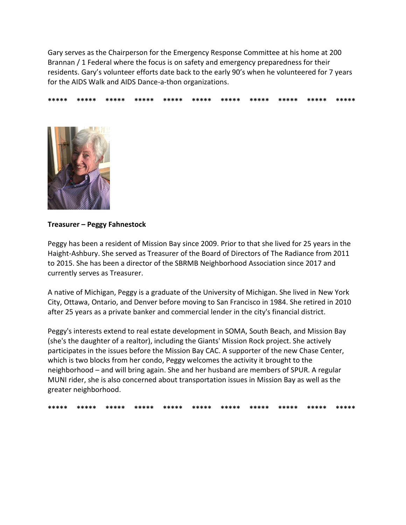Gary serves as the Chairperson for the Emergency Response Committee at his home at 200 Brannan / 1 Federal where the focus is on safety and emergency preparedness for their residents. Gary's volunteer efforts date back to the early 90's when he volunteered for 7 years for the AIDS Walk and AIDS Dance-a-thon organizations.

**\*\*\*\*\* \*\*\*\*\* \*\*\*\*\* \*\*\*\*\* \*\*\*\*\* \*\*\*\*\* \*\*\*\*\* \*\*\*\*\* \*\*\*\*\* \*\*\*\*\* \*\*\*\*\***



### **Treasurer – Peggy Fahnestock**

Peggy has been a resident of Mission Bay since 2009. Prior to that she lived for 25 years in the Haight-Ashbury. She served as Treasurer of the Board of Directors of The Radiance from 2011 to 2015. She has been a director of the SBRMB Neighborhood Association since 2017 and currently serves as Treasurer.

A native of Michigan, Peggy is a graduate of the University of Michigan. She lived in New York City, Ottawa, Ontario, and Denver before moving to San Francisco in 1984. She retired in 2010 after 25 years as a private banker and commercial lender in the city's financial district.

Peggy's interests extend to real estate development in SOMA, South Beach, and Mission Bay (she's the daughter of a realtor), including the Giants' Mission Rock project. She actively participates in the issues before the Mission Bay CAC. A supporter of the new Chase Center, which is two blocks from her condo, Peggy welcomes the activity it brought to the neighborhood – and will bring again. She and her husband are members of SPUR. A regular MUNI rider, she is also concerned about transportation issues in Mission Bay as well as the greater neighborhood.

**\*\*\*\*\* \*\*\*\*\* \*\*\*\*\* \*\*\*\*\* \*\*\*\*\* \*\*\*\*\* \*\*\*\*\* \*\*\*\*\* \*\*\*\*\* \*\*\*\*\* \*\*\*\*\***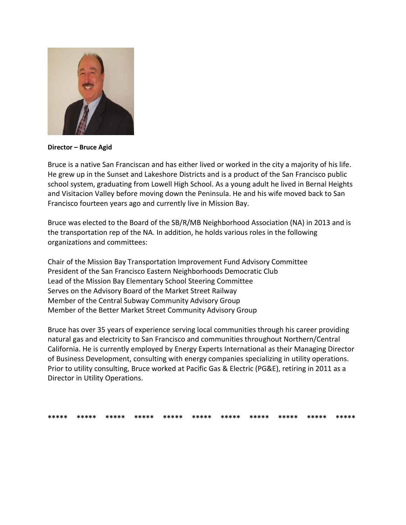

Director - Bruce Agid

Bruce is a native San Franciscan and has either lived or worked in the city a majority of his life. He grew up in the Sunset and Lakeshore Districts and is a product of the San Francisco public school system, graduating from Lowell High School. As a young adult he lived in Bernal Heights and Visitacion Valley before moving down the Peninsula. He and his wife moved back to San Francisco fourteen years ago and currently live in Mission Bay.

Bruce was elected to the Board of the SB/R/MB Neighborhood Association (NA) in 2013 and is the transportation rep of the NA. In addition, he holds various roles in the following organizations and committees:

Chair of the Mission Bay Transportation Improvement Fund Advisory Committee President of the San Francisco Eastern Neighborhoods Democratic Club Lead of the Mission Bay Elementary School Steering Committee Serves on the Advisory Board of the Market Street Railway Member of the Central Subway Community Advisory Group Member of the Better Market Street Community Advisory Group

Bruce has over 35 years of experience serving local communities through his career providing natural gas and electricity to San Francisco and communities throughout Northern/Central California. He is currently employed by Energy Experts International as their Managing Director of Business Development, consulting with energy companies specializing in utility operations. Prior to utility consulting, Bruce worked at Pacific Gas & Electric (PG&E), retiring in 2011 as a Director in Utility Operations.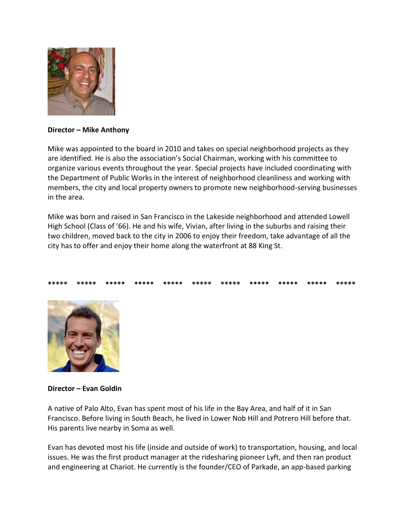

#### **Director – Mike Anthony**

Mike was appointed to the board in 2010 and takes on special neighborhood projects as they are identified. He is also the association's Social Chairman, working with his committee to organize various events throughout the year. Special projects have included coordinating with the Department of Public Works in the interest of neighborhood cleanliness and working with members, the city and local property owners to promote new neighborhood-serving businesses in the area.

Mike was born and raised in San Francisco in the Lakeside neighborhood and attended Lowell High School (Class of '66). He and his wife, Vivian, after living in the suburbs and raising their two children, moved back to the city in 2006 to enjoy their freedom, take advantage of all the city has to offer and enjoy their home along the waterfront at 88 King St.

### **\*\*\*\*\* \*\*\*\*\* \*\*\*\*\* \*\*\*\*\* \*\*\*\*\* \*\*\*\*\* \*\*\*\*\* \*\*\*\*\* \*\*\*\*\* \*\*\*\*\* \*\*\*\*\***



### **Director – Evan Goldin**

A native of Palo Alto, Evan has spent most of his life in the Bay Area, and half of it in San Francisco. Before living in South Beach, he lived in Lower Nob Hill and Potrero Hill before that. His parents live nearby in Soma as well.

Evan has devoted most his life (inside and outside of work) to transportation, housing, and local issues. He was the first product manager at the ridesharing pioneer Lyft, and then ran product and engineering at Chariot. He currently is the founder/CEO of Parkade, an app-based parking